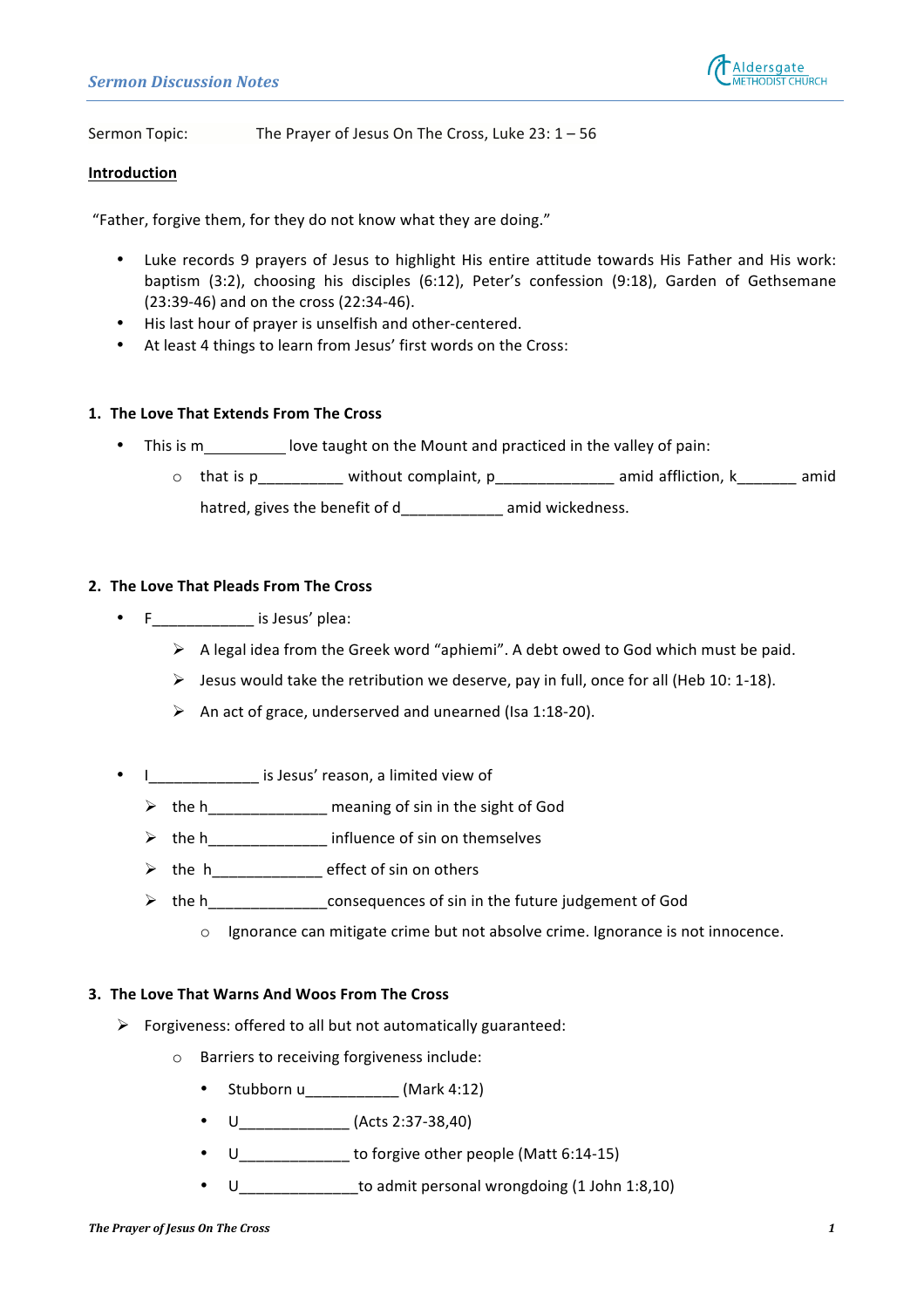

Sermon Topic: The Prayer of Jesus On The Cross, Luke  $23: 1 - 56$ 

## **Introduction**

"Father, forgive them, for they do not know what they are doing."

- Luke records 9 prayers of Jesus to highlight His entire attitude towards His Father and His work: baptism (3:2), choosing his disciples (6:12), Peter's confession (9:18), Garden of Gethsemane (23:39-46) and on the cross (22:34-46).
- His last hour of prayer is unselfish and other-centered.
- At least 4 things to learn from Jesus' first words on the Cross:

# 1. The Love That Extends From The Cross

- This is  $m \underline{\hspace{2cm}}$  love taught on the Mount and practiced in the valley of pain:
	- $\circ$  that is p\_\_\_\_\_\_\_\_\_\_ without complaint, p\_\_\_\_\_\_\_\_\_\_\_\_\_\_ amid affliction, k\_\_\_\_\_\_\_ amid hatred, gives the benefit of d amid wickedness.

# **2.** The Love That Pleads From The Cross

- $F_{\_ \_ \_ \_ \_ \_ \_ \_ \_ \_ \_ \}$  is Jesus' plea:
	- $\triangleright$  A legal idea from the Greek word "aphiemi". A debt owed to God which must be paid.
	- $\triangleright$  Jesus would take the retribution we deserve, pay in full, once for all (Heb 10: 1-18).
	- An act of grace, underserved and unearned (Isa 1:18-20).
- I\_\_\_\_\_\_\_\_\_\_\_\_\_ is Jesus' reason, a limited view of
	- $\triangleright$  the h\_\_\_\_\_\_\_\_\_\_\_\_\_\_\_ meaning of sin in the sight of God
	- $\triangleright$  the h\_\_\_\_\_\_\_\_\_\_\_\_\_\_\_\_\_\_ influence of sin on themselves
	- $\triangleright$  the  $h$  \_\_\_\_\_\_\_\_\_\_\_\_\_\_\_\_\_ effect of sin on others
	- $\triangleright$  the h<br>consequences of sin in the future judgement of God
		- $\circ$  Ignorance can mitigate crime but not absolve crime. Ignorance is not innocence.

# **3.** The Love That Warns And Woos From The Cross

- $\triangleright$  Forgiveness: offered to all but not automatically guaranteed:
	- $\circ$  Barriers to receiving forgiveness include:
		- Stubborn u\_\_\_\_\_\_\_\_\_\_\_ (Mark 4:12)
		- U\_\_\_\_\_\_\_\_\_\_\_\_\_ (Acts 2:37-38,40)
		- $U_{\_$
		- U\_\_\_\_\_\_\_\_\_\_\_\_\_\_\_\_to admit personal wrongdoing (1 John 1:8,10)

#### **The Prayer of Jesus On The Cross 1**